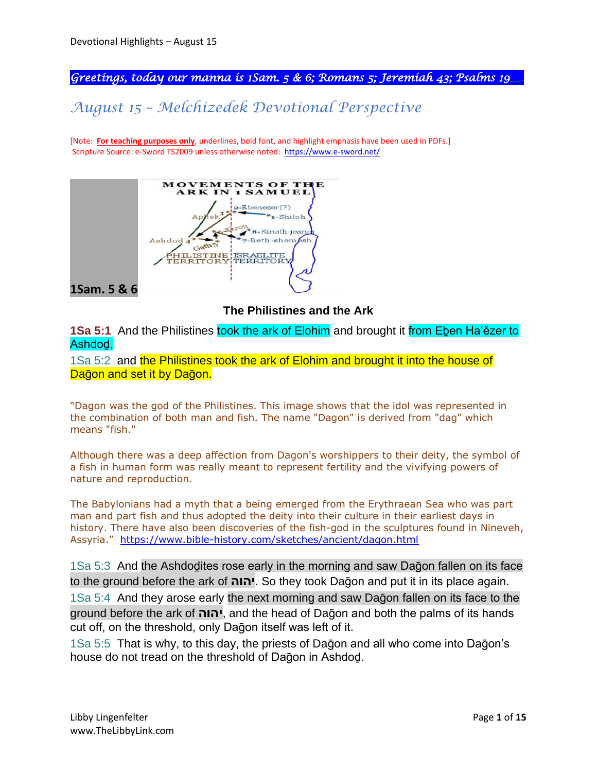*Greetings, today our manna is 1Sam. 5 & 6; Romans 5; Jeremiah 43; Psalms 19\_\_.* 

# *August 15 – Melchizedek Devotional Perspective*

[Note: **For teaching purposes only**, underlines, bold font, and highlight emphasis have been used in PDFs.] Scripture Source: e-Sword TS2009 unless otherwise noted: <https://www.e-sword.net/>



**The Philistines and the Ark**

**1Sa 5:1** And the Philistines took the ark of Elohim and brought it from Eben Ha'ězer to Ashdod,

1Sa 5:2 and the Philistines took the ark of Elohim and brought it into the house of Dağon and set it by Dağon.

"Dagon was the god of the Philistines. This image shows that the idol was represented in the combination of both man and fish. The name "Dagon" is derived from "dag" which means "fish."

Although there was a deep affection from Dagon's worshippers to their deity, the symbol of a fish in human form was really meant to represent fertility and the vivifying powers of nature and reproduction.

The Babylonians had a myth that a being emerged from the Erythraean Sea who was part man and part fish and thus adopted the deity into their culture in their earliest days in history. There have also been discoveries of the fish-god in the sculptures found in Nineveh, Assyria." <https://www.bible-history.com/sketches/ancient/dagon.html>

1Sa 5:3 And the Ashdoḏites rose early in the morning and saw Daḡon fallen on its face to the ground before the ark of **יהוה**. So they took Daḡon and put it in its place again.

1Sa 5:4 And they arose early the next morning and saw Daḡon fallen on its face to the ground before the ark of **יהוה**, and the head of Daḡon and both the palms of its hands cut off, on the threshold, only Dağon itself was left of it.

1Sa 5:5 That is why, to this day, the priests of Daḡon and all who come into Daḡon's house do not tread on the threshold of Daḡon in Ashdoḏ.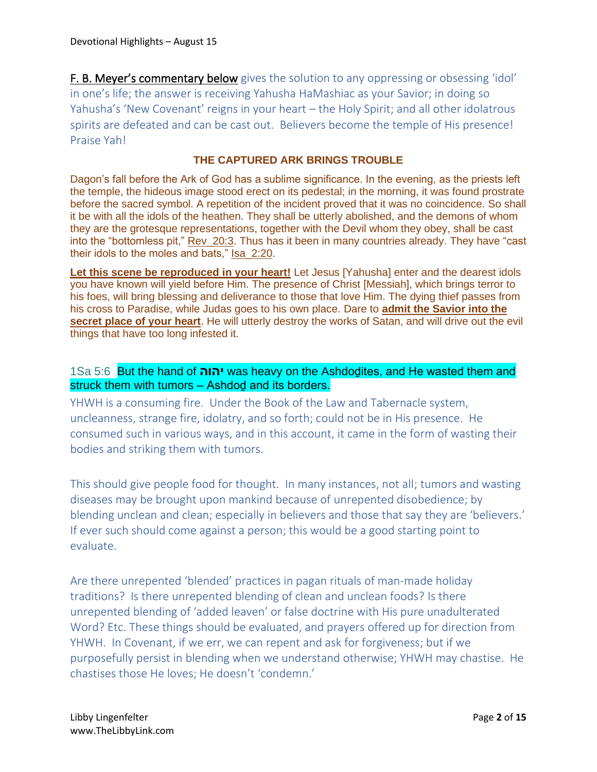F. B. Meyer's commentary below gives the solution to any oppressing or obsessing 'idol' in one's life; the answer is receiving Yahusha HaMashiac as your Savior; in doing so Yahusha's 'New Covenant' reigns in your heart – the Holy Spirit; and all other idolatrous spirits are defeated and can be cast out. Believers become the temple of His presence! Praise Yah!

## **THE CAPTURED ARK BRINGS TROUBLE**

Dagon's fall before the Ark of God has a sublime significance. In the evening, as the priests left the temple, the hideous image stood erect on its pedestal; in the morning, it was found prostrate before the sacred symbol. A repetition of the incident proved that it was no coincidence. So shall it be with all the idols of the heathen. They shall be utterly abolished, and the demons of whom they are the grotesque representations, together with the Devil whom they obey, shall be cast into the "bottomless pit," Rev\_20:3. Thus has it been in many countries already. They have "cast their idols to the moles and bats," Isa\_2:20.

**Let this scene be reproduced in your heart!** Let Jesus [Yahusha] enter and the dearest idols you have known will yield before Him. The presence of Christ [Messiah], which brings terror to his foes, will bring blessing and deliverance to those that love Him. The dying thief passes from his cross to Paradise, while Judas goes to his own place. Dare to **admit the Savior into the secret place of your heart**. He will utterly destroy the works of Satan, and will drive out the evil things that have too long infested it.

## 1Sa 5:6 But the hand of **יהוה** was heavy on the Ashdoḏites, and He wasted them and struck them with tumors – Ashdod and its borders.

YHWH is a consuming fire. Under the Book of the Law and Tabernacle system, uncleanness, strange fire, idolatry, and so forth; could not be in His presence. He consumed such in various ways, and in this account, it came in the form of wasting their bodies and striking them with tumors.

This should give people food for thought. In many instances, not all; tumors and wasting diseases may be brought upon mankind because of unrepented disobedience; by blending unclean and clean; especially in believers and those that say they are 'believers.' If ever such should come against a person; this would be a good starting point to evaluate.

Are there unrepented 'blended' practices in pagan rituals of man-made holiday traditions? Is there unrepented blending of clean and unclean foods? Is there unrepented blending of 'added leaven' or false doctrine with His pure unadulterated Word? Etc. These things should be evaluated, and prayers offered up for direction from YHWH. In Covenant, if we err, we can repent and ask for forgiveness; but if we purposefully persist in blending when we understand otherwise; YHWH may chastise. He chastises those He loves; He doesn't 'condemn.'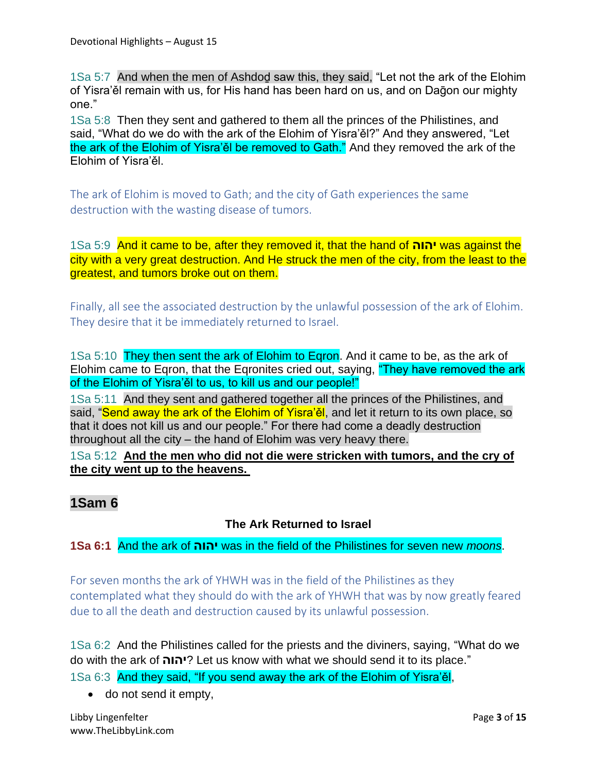1Sa 5:7 And when the men of Ashdoḏ saw this, they said, "Let not the ark of the Elohim of Yisra'ěl remain with us, for His hand has been hard on us, and on Daḡon our mighty one."

1Sa 5:8 Then they sent and gathered to them all the princes of the Philistines, and said, "What do we do with the ark of the Elohim of Yisra'ěl?" And they answered, "Let the ark of the Elohim of Yisra'ěl be removed to Gath." And they removed the ark of the Elohim of Yisra'ěl.

The ark of Elohim is moved to Gath; and the city of Gath experiences the same destruction with the wasting disease of tumors.

1Sa 5:9 And it came to be, after they removed it, that the hand of **יהוה** was against the city with a very great destruction. And He struck the men of the city, from the least to the greatest, and tumors broke out on them.

Finally, all see the associated destruction by the unlawful possession of the ark of Elohim. They desire that it be immediately returned to Israel.

1Sa 5:10 They then sent the ark of Elohim to Egron. And it came to be, as the ark of Elohim came to Eqron, that the Eqronites cried out, saying, "They have removed the ark of the Elohim of Yisra'ěl to us, to kill us and our people!"

1Sa 5:11 And they sent and gathered together all the princes of the Philistines, and said, "Send away the ark of the Elohim of Yisra'ěl, and let it return to its own place, so that it does not kill us and our people." For there had come a deadly destruction throughout all the city – the hand of Elohim was very heavy there.

1Sa 5:12 **And the men who did not die were stricken with tumors, and the cry of the city went up to the heavens.**

# **1Sam 6**

## **The Ark Returned to Israel**

**1Sa 6:1** And the ark of **יהוה** was in the field of the Philistines for seven new *moons*.

For seven months the ark of YHWH was in the field of the Philistines as they contemplated what they should do with the ark of YHWH that was by now greatly feared due to all the death and destruction caused by its unlawful possession.

1Sa 6:2 And the Philistines called for the priests and the diviners, saying, "What do we do with the ark of **יהוה** ?Let us know with what we should send it to its place."

1Sa 6:3 And they said, "If you send away the ark of the Elohim of Yisra'ěl,

• do not send it empty,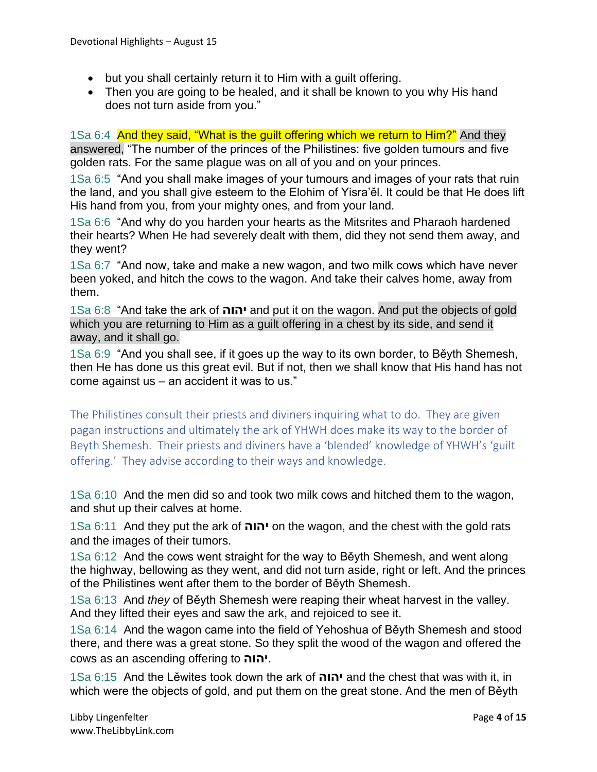- but you shall certainly return it to Him with a guilt offering.
- Then you are going to be healed, and it shall be known to you why His hand does not turn aside from you."

1Sa 6:4 And they said, "What is the guilt offering which we return to Him?" And they answered, "The number of the princes of the Philistines: five golden tumours and five golden rats. For the same plague was on all of you and on your princes.

1Sa 6:5 "And you shall make images of your tumours and images of your rats that ruin the land, and you shall give esteem to the Elohim of Yisra'ěl. It could be that He does lift His hand from you, from your mighty ones, and from your land.

1Sa 6:6 "And why do you harden your hearts as the Mitsrites and Pharaoh hardened their hearts? When He had severely dealt with them, did they not send them away, and they went?

1Sa 6:7 "And now, take and make a new wagon, and two milk cows which have never been yoked, and hitch the cows to the wagon. And take their calves home, away from them.

1Sa 6:8 "And take the ark of **יהוה** and put it on the wagon. And put the objects of gold which you are returning to Him as a guilt offering in a chest by its side, and send it away, and it shall go.

1Sa 6:9 "And you shall see, if it goes up the way to its own border, to Běyth Shemesh, then He has done us this great evil. But if not, then we shall know that His hand has not come against us – an accident it was to us."

The Philistines consult their priests and diviners inquiring what to do. They are given pagan instructions and ultimately the ark of YHWH does make its way to the border of Beyth Shemesh. Their priests and diviners have a 'blended' knowledge of YHWH's 'guilt offering.' They advise according to their ways and knowledge.

1Sa 6:10 And the men did so and took two milk cows and hitched them to the wagon, and shut up their calves at home.

1Sa 6:11 And they put the ark of **יהוה** on the wagon, and the chest with the gold rats and the images of their tumors.

1Sa 6:12 And the cows went straight for the way to Běyth Shemesh, and went along the highway, bellowing as they went, and did not turn aside, right or left. And the princes of the Philistines went after them to the border of Běyth Shemesh.

1Sa 6:13 And *they* of Běyth Shemesh were reaping their wheat harvest in the valley. And they lifted their eyes and saw the ark, and rejoiced to see it.

1Sa 6:14 And the wagon came into the field of Yehoshua of Běyth Shemesh and stood there, and there was a great stone. So they split the wood of the wagon and offered the cows as an ascending offering to **יהוה**.

1Sa 6:15 And the Lěwites took down the ark of **יהוה** and the chest that was with it, in which were the objects of gold, and put them on the great stone. And the men of Běyth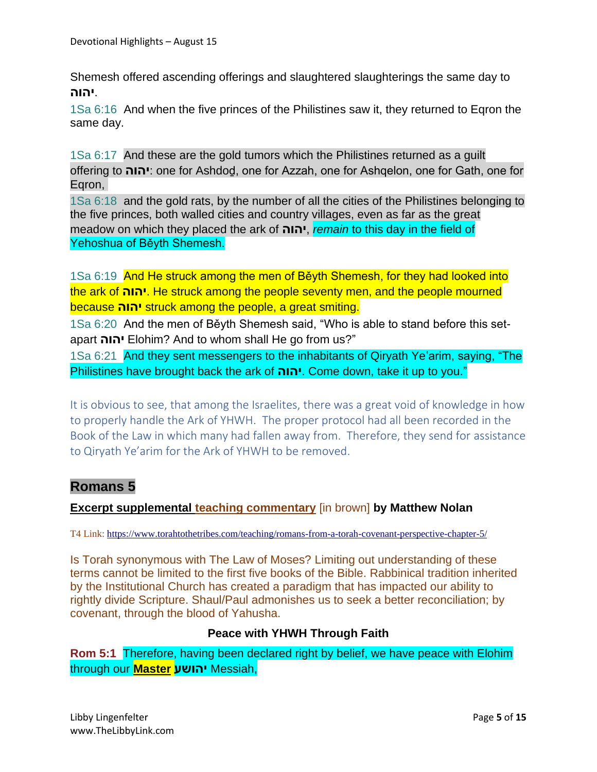Shemesh offered ascending offerings and slaughtered slaughterings the same day to .**יהוה**

1Sa 6:16 And when the five princes of the Philistines saw it, they returned to Eqron the same day.

1Sa 6:17 And these are the gold tumors which the Philistines returned as a guilt offering to **יהוה**: one for Ashdoḏ, one for Azzah, one for Ashqelon, one for Gath, one for Eqron,

1Sa 6:18 and the gold rats, by the number of all the cities of the Philistines belonging to the five princes, both walled cities and country villages, even as far as the great meadow on which they placed the ark of **יהוה**, *remain* to this day in the field of Yehoshua of Běyth Shemesh.

1Sa 6:19 And He struck among the men of Běyth Shemesh, for they had looked into the ark of **יהוה**. He struck among the people seventy men, and the people mourned because **יהוה** struck among the people, a great smiting.

1Sa 6:20 And the men of Běyth Shemesh said, "Who is able to stand before this setapart **יהוה** Elohim? And to whom shall He go from us?"

1Sa 6:21 And they sent messengers to the inhabitants of Qiryath Ye'arim, saying, "The Philistines have brought back the ark of **יהוה**. Come down, take it up to you."

It is obvious to see, that among the Israelites, there was a great void of knowledge in how to properly handle the Ark of YHWH. The proper protocol had all been recorded in the Book of the Law in which many had fallen away from. Therefore, they send for assistance to Qiryath Ye'arim for the Ark of YHWH to be removed.

# **Romans 5**

## **Excerpt supplemental teaching commentary** [in brown] **by Matthew Nolan**

T4 Link:<https://www.torahtothetribes.com/teaching/romans-from-a-torah-covenant-perspective-chapter-5/>

Is Torah synonymous with The Law of Moses? Limiting out understanding of these terms cannot be limited to the first five books of the Bible. Rabbinical tradition inherited by the Institutional Church has created a paradigm that has impacted our ability to rightly divide Scripture. Shaul/Paul admonishes us to seek a better reconciliation; by covenant, through the blood of Yahusha.

### **Peace with YHWH Through Faith**

**Rom 5:1** Therefore, having been declared right by belief, we have peace with Elohim through our **Master יהושע** Messiah,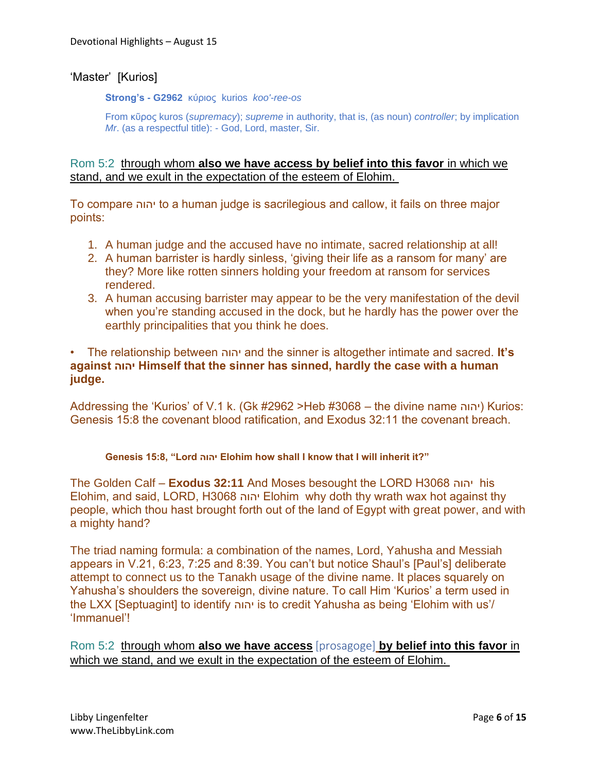### 'Master' [Kurios]

**Strong's - G2962** κύριος kurios *koo'-ree-os*

From κῦρος kuros (*supremacy*); *supreme* in authority, that is, (as noun) *controller*; by implication *Mr*. (as a respectful title): - God, Lord, master, Sir.

#### Rom 5:2 through whom **also we have access by belief into this favor** in which we stand, and we exult in the expectation of the esteem of Elohim.

To compare יהוה to a human judge is sacrilegious and callow, it fails on three major points:

- 1. A human judge and the accused have no intimate, sacred relationship at all!
- 2. A human barrister is hardly sinless, 'giving their life as a ransom for many' are they? More like rotten sinners holding your freedom at ransom for services rendered.
- 3. A human accusing barrister may appear to be the very manifestation of the devil when you're standing accused in the dock, but he hardly has the power over the earthly principalities that you think he does.

#### • The relationship between יהוה and the sinner is altogether intimate and sacred. **It's against יהוה Himself that the sinner has sinned, hardly the case with a human judge.**

Addressing the 'Kurios' of V.1 k. (Gk #2962 >Heb #3068 – the divine name יהוה) Kurios: Genesis 15:8 the covenant blood ratification, and Exodus 32:11 the covenant breach.

#### **Genesis 15:8, "Lord יהוה Elohim how shall I know that I will inherit it?"**

The Golden Calf – **Exodus 32:11** And Moses besought the LORD H3068 יהוה his Elohim, and said, LORD, H3068 יהוה Elohim why doth thy wrath wax hot against thy people, which thou hast brought forth out of the land of Egypt with great power, and with a mighty hand?

The triad naming formula: a combination of the names, Lord, Yahusha and Messiah appears in V.21, 6:23, 7:25 and 8:39. You can't but notice Shaul's [Paul's] deliberate attempt to connect us to the Tanakh usage of the divine name. It places squarely on Yahusha's shoulders the sovereign, divine nature. To call Him 'Kurios' a term used in the LXX [Septuagint] to identify יהוה is to credit Yahusha as being 'Elohim with us'/ 'Immanuel'!

Rom 5:2 through whom **also we have access** [prosagoge] **by belief into this favor** in which we stand, and we exult in the expectation of the esteem of Elohim.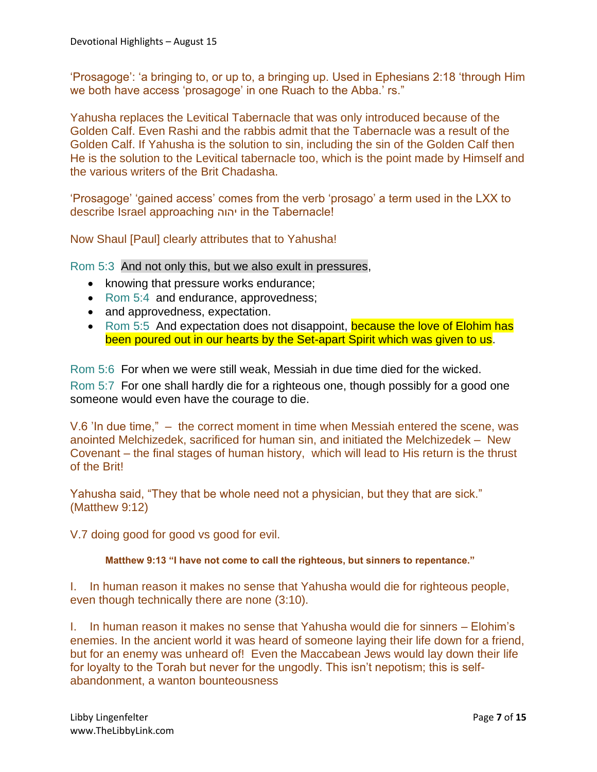'Prosagoge': 'a bringing to, or up to, a bringing up. Used in Ephesians 2:18 'through Him we both have access 'prosagoge' in one Ruach to the Abba.' rs."

Yahusha replaces the Levitical Tabernacle that was only introduced because of the Golden Calf. Even Rashi and the rabbis admit that the Tabernacle was a result of the Golden Calf. If Yahusha is the solution to sin, including the sin of the Golden Calf then He is the solution to the Levitical tabernacle too, which is the point made by Himself and the various writers of the Brit Chadasha.

'Prosagoge' 'gained access' comes from the verb 'prosago' a term used in the LXX to describe Israel approaching יהוה in the Tabernacle!

Now Shaul [Paul] clearly attributes that to Yahusha!

Rom 5:3 And not only this, but we also exult in pressures,

- knowing that pressure works endurance;
- Rom 5:4 and endurance, approvedness;
- and approvedness, expectation.
- Rom 5:5 And expectation does not disappoint, because the love of Elohim has been poured out in our hearts by the Set-apart Spirit which was given to us.

Rom 5:6 For when we were still weak, Messiah in due time died for the wicked. Rom 5:7 For one shall hardly die for a righteous one, though possibly for a good one someone would even have the courage to die.

V.6 'In due time," – the correct moment in time when Messiah entered the scene, was anointed Melchizedek, sacrificed for human sin, and initiated the Melchizedek – New Covenant – the final stages of human history, which will lead to His return is the thrust of the Brit!

Yahusha said, "They that be whole need not a physician, but they that are sick." (Matthew 9:12)

V.7 doing good for good vs good for evil.

#### **Matthew 9:13 "I have not come to call the righteous, but sinners to repentance."**

I. In human reason it makes no sense that Yahusha would die for righteous people, even though technically there are none (3:10).

I. In human reason it makes no sense that Yahusha would die for sinners – Elohim's enemies. In the ancient world it was heard of someone laying their life down for a friend, but for an enemy was unheard of! Even the Maccabean Jews would lay down their life for loyalty to the Torah but never for the ungodly. This isn't nepotism; this is selfabandonment, a wanton bounteousness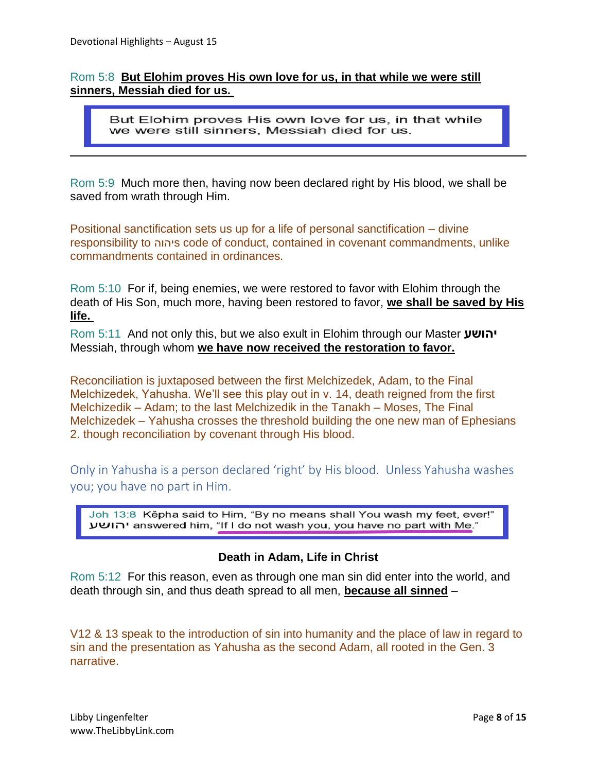### Rom 5:8 **But Elohim proves His own love for us, in that while we were still sinners, Messiah died for us.**

But Elohim proves His own love for us, in that while we were still sinners, Messiah died for us.

Rom 5:9 Much more then, having now been declared right by His blood, we shall be saved from wrath through Him.

Positional sanctification sets us up for a life of personal sanctification – divine responsibility to יהוהs code of conduct, contained in covenant commandments, unlike commandments contained in ordinances.

Rom 5:10 For if, being enemies, we were restored to favor with Elohim through the death of His Son, much more, having been restored to favor, **we shall be saved by His life.**

Rom 5:11 And not only this, but we also exult in Elohim through our Master **יהושע** Messiah, through whom **we have now received the restoration to favor.**

Reconciliation is juxtaposed between the first Melchizedek, Adam, to the Final Melchizedek, Yahusha. We'll see this play out in v. 14, death reigned from the first Melchizedik – Adam; to the last Melchizedik in the Tanakh – Moses, The Final Melchizedek – Yahusha crosses the threshold building the one new man of Ephesians 2. though reconciliation by covenant through His blood.

Only in Yahusha is a person declared 'right' by His blood. Unless Yahusha washes you; you have no part in Him.

Joh 13:8 Kěpha said to Him, "By no means shall You wash my feet, ever!" יהושע answered him, "If I do not wash you, you have no part with Me."

## **Death in Adam, Life in Christ**

Rom 5:12 For this reason, even as through one man sin did enter into the world, and death through sin, and thus death spread to all men, **because all sinned** –

V12 & 13 speak to the introduction of sin into humanity and the place of law in regard to sin and the presentation as Yahusha as the second Adam, all rooted in the Gen. 3 narrative.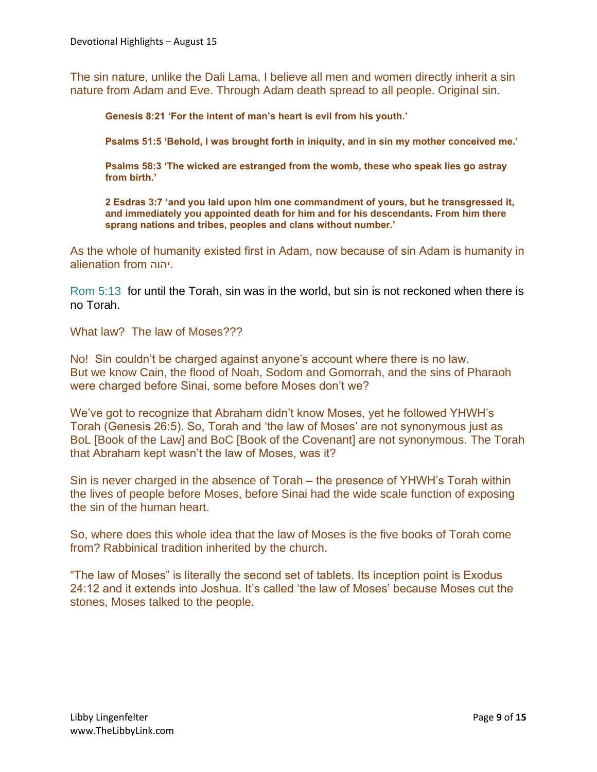The sin nature, unlike the Dali Lama, I believe all men and women directly inherit a sin nature from Adam and Eve. Through Adam death spread to all people. Original sin.

**Genesis 8:21 'For the intent of man's heart is evil from his youth.'**

**Psalms 51:5 'Behold, I was brought forth in iniquity, and in sin my mother conceived me.'**

**Psalms 58:3 'The wicked are estranged from the womb, these who speak lies go astray from birth.'**

**2 Esdras 3:7 'and you laid upon him one commandment of yours, but he transgressed it, and immediately you appointed death for him and for his descendants. From him there sprang nations and tribes, peoples and clans without number.'**

As the whole of humanity existed first in Adam, now because of sin Adam is humanity in alienation from יהוה.

Rom 5:13 for until the Torah, sin was in the world, but sin is not reckoned when there is no Torah.

What law? The law of Moses???

No! Sin couldn't be charged against anyone's account where there is no law. But we know Cain, the flood of Noah, Sodom and Gomorrah, and the sins of Pharaoh were charged before Sinai, some before Moses don't we?

We've got to recognize that Abraham didn't know Moses, yet he followed YHWH's Torah (Genesis 26:5). So, Torah and 'the law of Moses' are not synonymous just as BoL [Book of the Law] and BoC [Book of the Covenant] are not synonymous. The Torah that Abraham kept wasn't the law of Moses, was it?

Sin is never charged in the absence of Torah – the presence of YHWH's Torah within the lives of people before Moses, before Sinai had the wide scale function of exposing the sin of the human heart.

So, where does this whole idea that the law of Moses is the five books of Torah come from? Rabbinical tradition inherited by the church.

"The law of Moses" is literally the second set of tablets. Its inception point is Exodus 24:12 and it extends into Joshua. It's called 'the law of Moses' because Moses cut the stones, Moses talked to the people.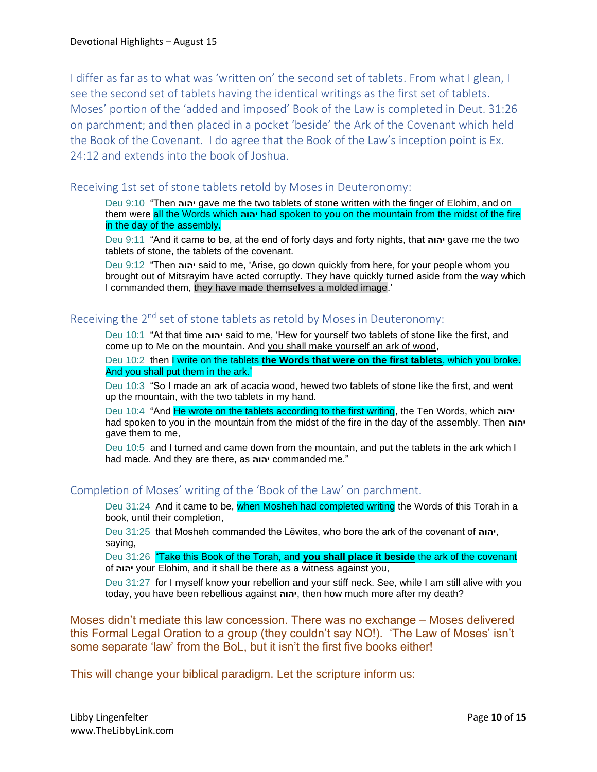I differ as far as to what was 'written on' the second set of tablets. From what I glean, I see the second set of tablets having the identical writings as the first set of tablets. Moses' portion of the 'added and imposed' Book of the Law is completed in Deut. 31:26 on parchment; and then placed in a pocket 'beside' the Ark of the Covenant which held the Book of the Covenant. I do agree that the Book of the Law's inception point is Ex. 24:12 and extends into the book of Joshua.

#### Receiving 1st set of stone tablets retold by Moses in Deuteronomy:

Deu 9:10 "Then **יהוה** gave me the two tablets of stone written with the finger of Elohim, and on them were all the Words which **יהוה** had spoken to you on the mountain from the midst of the fire in the day of the assembly.

Deu 9:11 "And it came to be, at the end of forty days and forty nights, that **יהוה** gave me the two tablets of stone, the tablets of the covenant.

Deu 9:12 "Then **יהוה** said to me, 'Arise, go down quickly from here, for your people whom you brought out of Mitsrayim have acted corruptly. They have quickly turned aside from the way which I commanded them, they have made themselves a molded image.'

#### Receiving the  $2^{nd}$  set of stone tablets as retold by Moses in Deuteronomy:

Deu 10:1 "At that time **יהוה** said to me, 'Hew for yourself two tablets of stone like the first, and come up to Me on the mountain. And you shall make yourself an ark of wood,

Deu 10:2 then I write on the tablets **the Words that were on the first tablets**, which you broke. And you shall put them in the ark.'

Deu 10:3 "So I made an ark of acacia wood, hewed two tablets of stone like the first, and went up the mountain, with the two tablets in my hand.

Deu 10:4 "And He wrote on the tablets according to the first writing, the Ten Words, which **יהוה** had spoken to you in the mountain from the midst of the fire in the day of the assembly. Then **יהוה** gave them to me,

Deu 10:5 and I turned and came down from the mountain, and put the tablets in the ark which I had made. And they are there, as **יהוה** commanded me."

#### Completion of Moses' writing of the 'Book of the Law' on parchment.

Deu 31:24 And it came to be, when Mosheh had completed writing the Words of this Torah in a book, until their completion,

Deu 31:25 that Mosheh commanded the Lěwites, who bore the ark of the covenant of **יהוה**, saying,

Deu 31:26 "Take this Book of the Torah, and **you shall place it beside** the ark of the covenant of **יהוה** your Elohim, and it shall be there as a witness against you,

Deu 31:27 for I myself know your rebellion and your stiff neck. See, while I am still alive with you today, you have been rebellious against **יהוה**, then how much more after my death?

Moses didn't mediate this law concession. There was no exchange – Moses delivered this Formal Legal Oration to a group (they couldn't say NO!). 'The Law of Moses' isn't some separate 'law' from the BoL, but it isn't the first five books either!

This will change your biblical paradigm. Let the scripture inform us: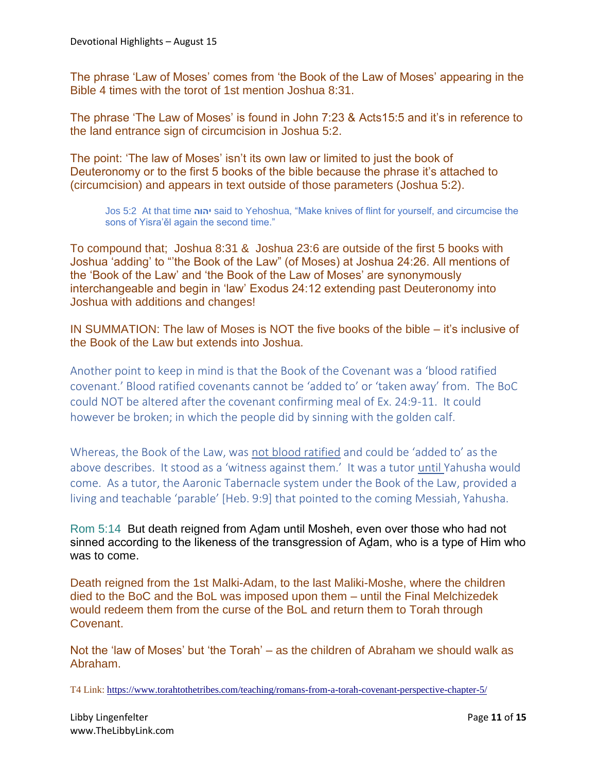The phrase 'Law of Moses' comes from 'the Book of the Law of Moses' appearing in the Bible 4 times with the torot of 1st mention Joshua 8:31.

The phrase 'The Law of Moses' is found in John 7:23 & Acts15:5 and it's in reference to the land entrance sign of circumcision in Joshua 5:2.

The point: 'The law of Moses' isn't its own law or limited to just the book of Deuteronomy or to the first 5 books of the bible because the phrase it's attached to (circumcision) and appears in text outside of those parameters (Joshua 5:2).

Jos 5:2 At that time **יהוה** said to Yehoshua, "Make knives of flint for yourself, and circumcise the sons of Yisra'ěl again the second time."

To compound that; Joshua 8:31 & Joshua 23:6 are outside of the first 5 books with Joshua 'adding' to "'the Book of the Law" (of Moses) at Joshua 24:26. All mentions of the 'Book of the Law' and 'the Book of the Law of Moses' are synonymously interchangeable and begin in 'law' Exodus 24:12 extending past Deuteronomy into Joshua with additions and changes!

IN SUMMATION: The law of Moses is NOT the five books of the bible – it's inclusive of the Book of the Law but extends into Joshua.

Another point to keep in mind is that the Book of the Covenant was a 'blood ratified covenant.' Blood ratified covenants cannot be 'added to' or 'taken away' from. The BoC could NOT be altered after the covenant confirming meal of Ex. 24:9-11. It could however be broken; in which the people did by sinning with the golden calf.

Whereas, the Book of the Law, was not blood ratified and could be 'added to' as the above describes. It stood as a 'witness against them.' It was a tutor until Yahusha would come. As a tutor, the Aaronic Tabernacle system under the Book of the Law, provided a living and teachable 'parable' [Heb. 9:9] that pointed to the coming Messiah, Yahusha.

Rom 5:14 But death reigned from Adam until Mosheh, even over those who had not sinned according to the likeness of the transgression of Adam, who is a type of Him who was to come.

Death reigned from the 1st Malki-Adam, to the last Maliki-Moshe, where the children died to the BoC and the BoL was imposed upon them – until the Final Melchizedek would redeem them from the curse of the BoL and return them to Torah through Covenant.

Not the 'law of Moses' but 'the Torah' – as the children of Abraham we should walk as Abraham.

T4 Link:<https://www.torahtothetribes.com/teaching/romans-from-a-torah-covenant-perspective-chapter-5/>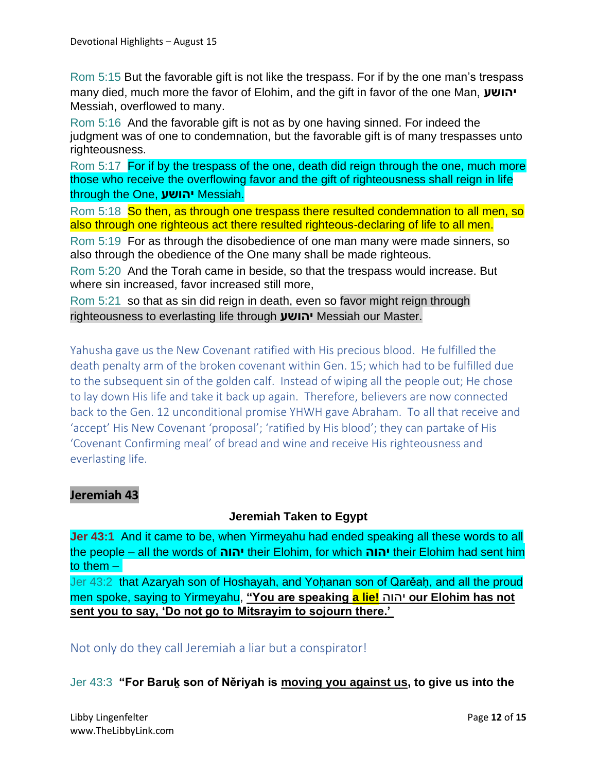Rom 5:15 But the favorable gift is not like the trespass. For if by the one man's trespass many died, much more the favor of Elohim, and the gift in favor of the one Man, **יהושע** Messiah, overflowed to many.

Rom 5:16 And the favorable gift is not as by one having sinned. For indeed the judgment was of one to condemnation, but the favorable gift is of many trespasses unto righteousness.

Rom 5:17 For if by the trespass of the one, death did reign through the one, much more those who receive the overflowing favor and the gift of righteousness shall reign in life through the One, **יהושע** Messiah.

Rom 5:18 So then, as through one trespass there resulted condemnation to all men, so also through one righteous act there resulted righteous-declaring of life to all men.

Rom 5:19 For as through the disobedience of one man many were made sinners, so also through the obedience of the One many shall be made righteous.

Rom 5:20 And the Torah came in beside, so that the trespass would increase. But where sin increased, favor increased still more,

Rom 5:21 so that as sin did reign in death, even so favor might reign through righteousness to everlasting life through **יהושע** Messiah our Master.

Yahusha gave us the New Covenant ratified with His precious blood. He fulfilled the death penalty arm of the broken covenant within Gen. 15; which had to be fulfilled due to the subsequent sin of the golden calf. Instead of wiping all the people out; He chose to lay down His life and take it back up again. Therefore, believers are now connected back to the Gen. 12 unconditional promise YHWH gave Abraham. To all that receive and 'accept' His New Covenant 'proposal'; 'ratified by His blood'; they can partake of His 'Covenant Confirming meal' of bread and wine and receive His righteousness and everlasting life.

## **Jeremiah 43**

### **Jeremiah Taken to Egypt**

**Jer 43:1** And it came to be, when Yirmeyahu had ended speaking all these words to all the people – all the words of **יהוה** their Elohim, for which **יהוה** their Elohim had sent him to them –

Jer 43:2 that Azaryah son of Hoshayah, and Yoḥanan son of Qarěaḥ, and all the proud men spoke, saying to Yirmeyahu, **"You are speaking a lie!** יהוה **our Elohim has not sent you to say, 'Do not go to Mitsrayim to sojourn there.'**

Not only do they call Jeremiah a liar but a conspirator!

Jer 43:3 **"For Baruḵ son of Něriyah is moving you against us, to give us into the**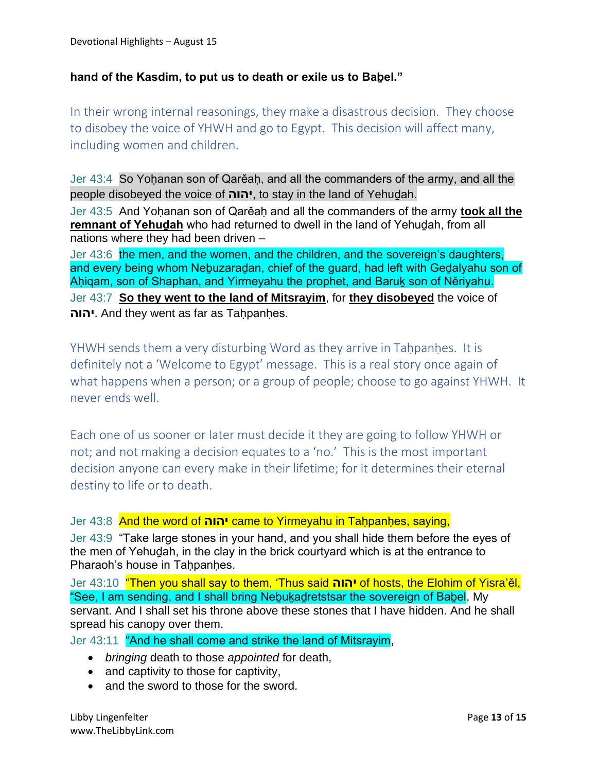## **hand of the Kasdim, to put us to death or exile us to Baḇel."**

In their wrong internal reasonings, they make a disastrous decision. They choose to disobey the voice of YHWH and go to Egypt. This decision will affect many, including women and children.

Jer 43:4 So Yoḥanan son of Qarěaḥ, and all the commanders of the army, and all the people disobeyed the voice of **יהוה**, to stay in the land of Yehuḏah.

Jer 43:5 And Yoḥanan son of Qarěaḥ and all the commanders of the army **took all the remnant of Yehuḏah** who had returned to dwell in the land of Yehuḏah, from all nations where they had been driven –

Jer 43:6 the men, and the women, and the children, and the sovereign's daughters, and every being whom Neḇuzaraḏan, chief of the guard, had left with Geḏalyahu son of Aḥiqam, son of Shaphan, and Yirmeyahu the prophet, and Baruḵ son of Něriyahu. Jer 43:7 **So they went to the land of Mitsrayim**, for **they disobeyed** the voice of **יהוה**. And they went as far as Taḥpanḥes.

YHWH sends them a very disturbing Word as they arrive in Taḥpanḥes. It is definitely not a 'Welcome to Egypt' message. This is a real story once again of what happens when a person; or a group of people; choose to go against YHWH. It never ends well.

Each one of us sooner or later must decide it they are going to follow YHWH or not; and not making a decision equates to a 'no.' This is the most important decision anyone can every make in their lifetime; for it determines their eternal destiny to life or to death.

#### Jer 43:8 And the word of **יהוה** came to Yirmeyahu in Taḥpanḥes, saying,

Jer 43:9 "Take large stones in your hand, and you shall hide them before the eyes of the men of Yehuḏah, in the clay in the brick courtyard which is at the entrance to Pharaoh's house in Tahpanhes.

Jer 43:10 "Then you shall say to them, 'Thus said **יהוה** of hosts, the Elohim of Yisra'ěl, "See, I am sending, and I shall bring Neḇuḵaḏretstsar the sovereign of Baḇel, My servant. And I shall set his throne above these stones that I have hidden. And he shall spread his canopy over them.

Jer 43:11 "And he shall come and strike the land of Mitsrayim,

- *bringing* death to those *appointed* for death,
- and captivity to those for captivity,
- and the sword to those for the sword.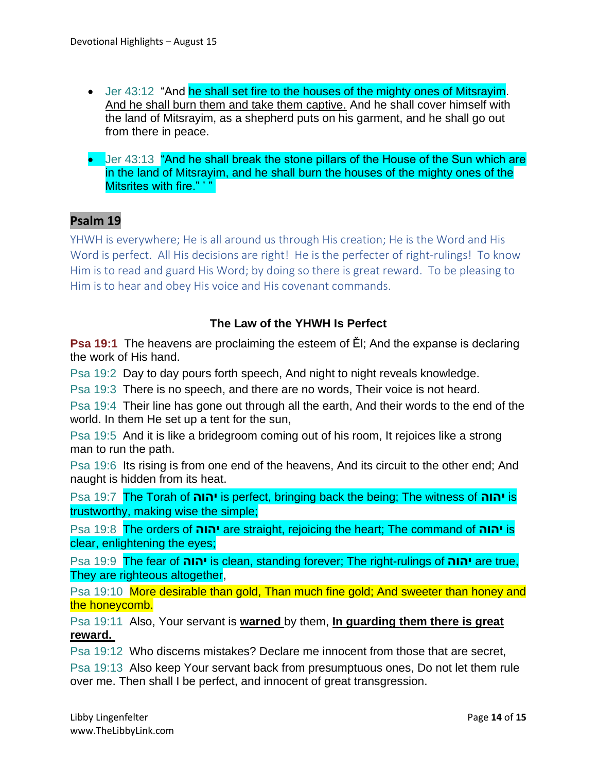- Jer 43:12 "And he shall set fire to the houses of the mighty ones of Mitsrayim. And he shall burn them and take them captive. And he shall cover himself with the land of Mitsrayim, as a shepherd puts on his garment, and he shall go out from there in peace.
- Jer 43:13 "And he shall break the stone pillars of the House of the Sun which are in the land of Mitsrayim, and he shall burn the houses of the mighty ones of the Mitsrites with fire." '"

# **Psalm 19**

YHWH is everywhere; He is all around us through His creation; He is the Word and His Word is perfect. All His decisions are right! He is the perfecter of right-rulings! To know Him is to read and guard His Word; by doing so there is great reward. To be pleasing to Him is to hear and obey His voice and His covenant commands.

## **The Law of the YHWH Is Perfect**

**Psa 19:1** The heavens are proclaiming the esteem of Ěl; And the expanse is declaring the work of His hand.

Psa 19:2 Day to day pours forth speech, And night to night reveals knowledge.

Psa 19:3 There is no speech, and there are no words, Their voice is not heard.

Psa 19:4 Their line has gone out through all the earth, And their words to the end of the world. In them He set up a tent for the sun,

Psa 19:5 And it is like a bridegroom coming out of his room, It rejoices like a strong man to run the path.

Psa 19:6 Its rising is from one end of the heavens, And its circuit to the other end; And naught is hidden from its heat.

Psa 19:7 The Torah of **יהוה** is perfect, bringing back the being; The witness of **יהוה** is trustworthy, making wise the simple;

Psa 19:8 The orders of **יהוה** are straight, rejoicing the heart; The command of **יהוה** is clear, enlightening the eyes;

Psa 19:9 The fear of **יהוה** is clean, standing forever; The right-rulings of **יהוה** are true, They are righteous altogether,

Psa 19:10 More desirable than gold, Than much fine gold; And sweeter than honey and the honeycomb.

Psa 19:11 Also, Your servant is **warned** by them, **In guarding them there is great reward.**

Psa 19:12 Who discerns mistakes? Declare me innocent from those that are secret,

Psa 19:13 Also keep Your servant back from presumptuous ones, Do not let them rule over me. Then shall I be perfect, and innocent of great transgression.